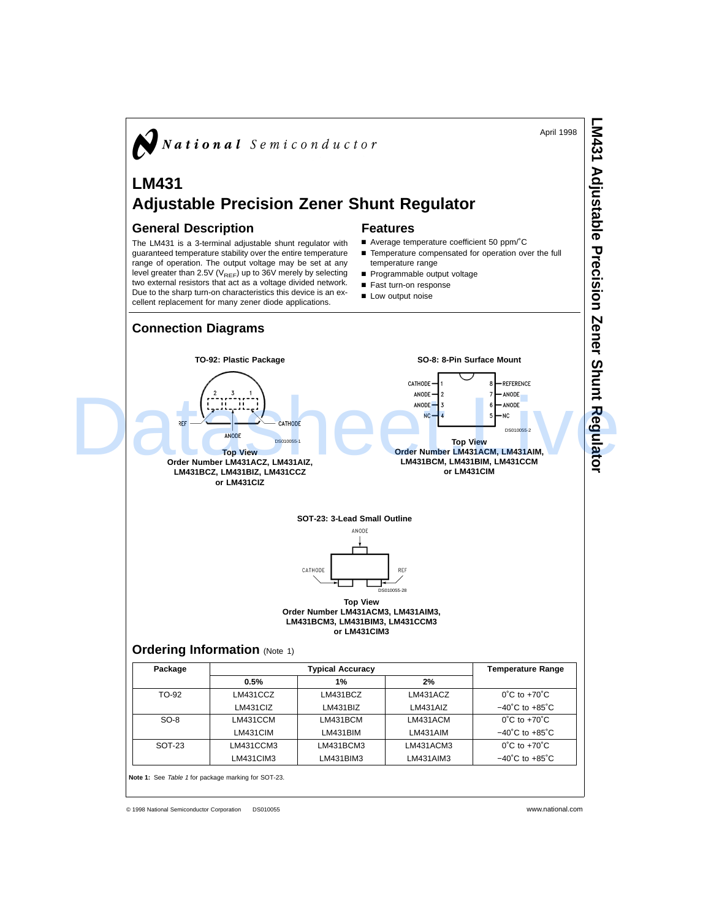

© 1998 National Semiconductor Corporation DS010055 www.national.com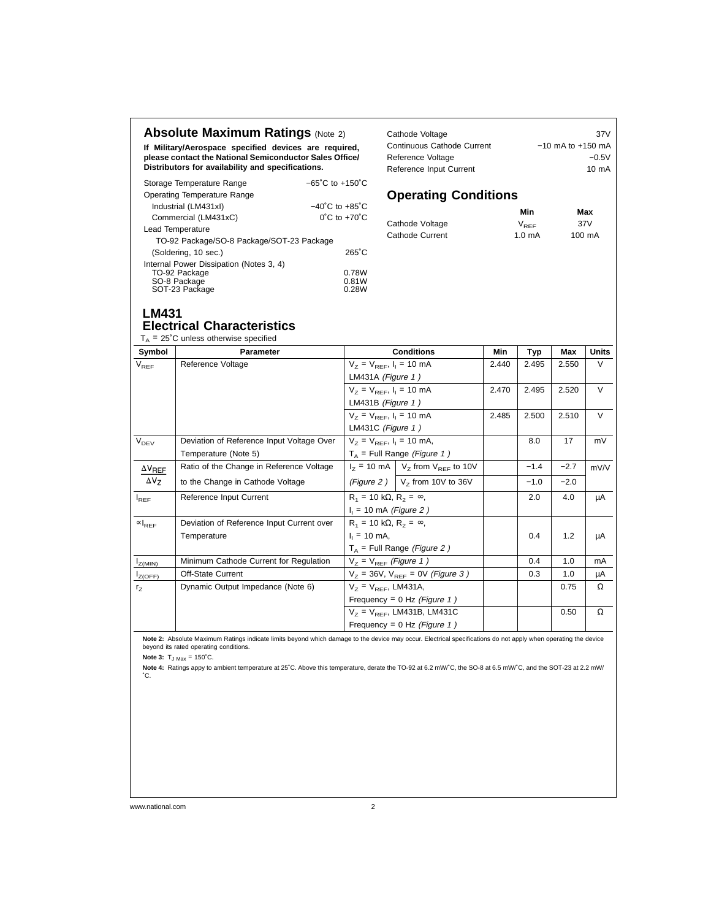### **Absolute Maximum Ratings (Note 2)**

**If Military/Aerospace specified devices are required, please contact the National Semiconductor Sales Office/ Distributors for availability and specifications.**

| Storage Temperature Range                 | $-65^{\circ}$ C to $+150^{\circ}$ C |
|-------------------------------------------|-------------------------------------|
| Operating Temperature Range               |                                     |
| Industrial (LM431xI)                      | $-40^{\circ}$ C to $+85^{\circ}$ C  |
| Commercial (LM431xC)                      | $0^{\circ}$ C to $+70^{\circ}$ C    |
| Lead Temperature                          |                                     |
| TO-92 Package/SO-8 Package/SOT-23 Package |                                     |
| (Soldering, 10 sec.)                      | $265^{\circ}$ C                     |
| Internal Power Dissipation (Notes 3, 4)   |                                     |
| TO-92 Package                             | 0.78W                               |
| SO-8 Package                              | 0.81W                               |
| SOT-23 Package                            | 0.28W                               |

| Cathode Voltage            | 37V                   |
|----------------------------|-----------------------|
| Continuous Cathode Current | $-10$ mA to $+150$ mA |
| Reference Voltage          | $-0.5V$               |
| Reference Input Current    | $10 \text{ mA}$       |

# **Operating Conditions**

|                 | Min              | Max    |
|-----------------|------------------|--------|
| Cathode Voltage | $V_{\text{PEE}}$ | 37V    |
| Cathode Current | $1.0 \text{ mA}$ | 100 mA |

#### **LM431 Electrical Characteristics**

#### $T_A$  = 25°C unless otherwise specified

| Symbol                       | <b>Parameter</b>                          | <b>Conditions</b>                                                                        | Min                                                               | Typ   | Max    | <b>Units</b> |        |
|------------------------------|-------------------------------------------|------------------------------------------------------------------------------------------|-------------------------------------------------------------------|-------|--------|--------------|--------|
| $V_{REF}$                    | Reference Voltage                         | $V_7 = V_{RFF}$ , $I_1 = 10$ mA                                                          |                                                                   | 2.440 | 2.495  | 2.550        | $\vee$ |
|                              |                                           | LM431A (Figure 1)                                                                        |                                                                   |       |        |              |        |
|                              |                                           | $V_7 = V_{RFF}$ , $I_1 = 10$ mA                                                          |                                                                   | 2.470 | 2.495  | 2.520        | $\vee$ |
|                              |                                           | LM431B (Figure $1)$                                                                      |                                                                   |       |        |              |        |
|                              |                                           | $V_7 = V_{BFE}$ , $I_1 = 10$ mA                                                          |                                                                   | 2.485 | 2.500  | 2.510        | $\vee$ |
|                              |                                           | LM431C (Figure $1)$                                                                      |                                                                   |       |        |              |        |
| $V_{DEV}$                    | Deviation of Reference Input Voltage Over | $V_7 = V_{RFF}$ , $I_1 = 10$ mA,                                                         |                                                                   |       | 8.0    | 17           | mV     |
|                              | Temperature (Note 5)                      | $T_A$ = Full Range (Figure 1)                                                            |                                                                   |       |        |              |        |
| $\Delta V_{REF}$             | Ratio of the Change in Reference Voltage  |                                                                                          | $I_z$ = 10 mA $\vert$ V <sub>z</sub> from V <sub>REF</sub> to 10V |       | $-1.4$ | $-2.7$       | mV/V   |
| $\Delta V_Z$                 | to the Change in Cathode Voltage          |                                                                                          | (Figure 2) $\vert$ V <sub>z</sub> from 10V to 36V                 |       | $-1.0$ | $-2.0$       |        |
| $I_{REF}$                    | Reference Input Current                   | $R_1 = 10 k\Omega$ , $R_2 = \infty$ ,                                                    |                                                                   |       | 2.0    | 4.0          | μA     |
|                              |                                           | $I_1$ = 10 mA (Figure 2)                                                                 |                                                                   |       |        |              |        |
| $\left.\propto\right _{REF}$ | Deviation of Reference Input Current over | $R_1 = 10 k\Omega$ , $R_2 = \infty$ ,<br>$I_1 = 10$ mA,<br>$T_A$ = Full Range (Figure 2) |                                                                   |       |        |              |        |
|                              | Temperature                               |                                                                                          |                                                                   |       | 0.4    | 1.2          | μA     |
|                              |                                           |                                                                                          |                                                                   |       |        |              |        |
| $I_{Z(MIN)}$                 | Minimum Cathode Current for Regulation    | $V_7 = V_{REF}$ (Figure 1)                                                               |                                                                   |       | 0.4    | 1.0          | mA     |
| $I_{Z(OFF)}$                 | Off-State Current                         | $V_7 = 36V$ , $V_{REF} = 0V$ (Figure 3)                                                  |                                                                   |       | 0.3    | 1.0          | μA     |
| r <sub>z</sub>               | Dynamic Output Impedance (Note 6)         | $V_7 = V_{RFF}$ , LM431A,                                                                |                                                                   |       |        | 0.75         | Ω      |
|                              |                                           | Frequency = $0$ Hz (Figure 1)                                                            |                                                                   |       |        |              |        |
|                              |                                           | $V_7 = V_{REF}$ , LM431B, LM431C                                                         |                                                                   |       |        | 0.50         | Ω      |
|                              |                                           | Frequency = $0$ Hz (Figure 1)                                                            |                                                                   |       |        |              |        |

**Note 2:** Absolute Maximum Ratings indicate limits beyond which damage to the device may occur. Electrical specifications do not apply when operating the device beyond its rated operating conditions.

**Note 3:**  $T_{J \text{ Max}} = 150^{\circ}$ C.

**Note 4:** Ratings appy to ambient temperature at 25˚C. Above this temperature, derate the TO-92 at 6.2 mW/˚C, the SO-8 at 6.5 mW/˚C, and the SOT-23 at 2.2 mW/ ˚C.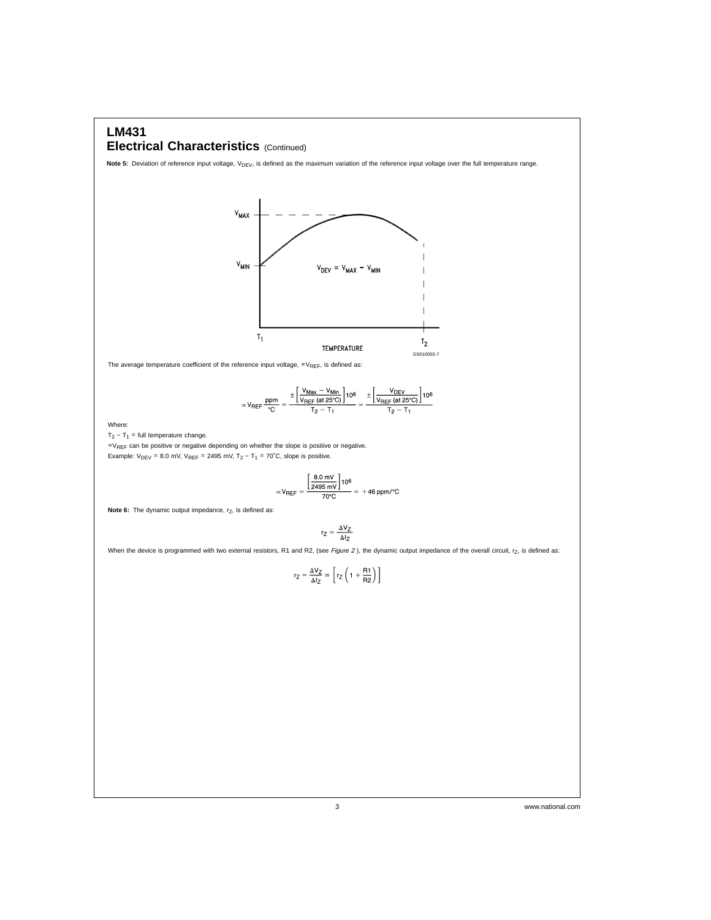## **LM431 Electrical Characteristics** (Continued)

Note 5: Deviation of reference input voltage, V<sub>DEV</sub>, is defined as the maximum variation of the reference input voltage over the full temperature range.



The average temperature coefficient of the reference input voltage,  $\propto$ V<sub>REF</sub>, is defined as:

$$
\propto V_{REF} \frac{ppm}{^{\circ}C} = \frac{\pm \left[ \frac{V_{Max}-V_{Min}}{V_{REF}\left(at\,25^{\circ}C\right)} \right]10^{6}}{T_{2}-T_{1}} = \frac{\pm \left[ \frac{V_{DEF}}{V_{REF}\left(at\,25^{\circ}C\right)} \right]10^{6}}{T_{2}-T_{1}}
$$

Where:

 $T_2 - T_1$  = full temperature change.

∝VREF can be positive or negative depending on whether the slope is positive or negative. Example:  $V_{\text{DEV}}$  = 8.0 mV,  $V_{\text{REF}}$  = 2495 mV, T<sub>2</sub> - T<sub>1</sub> = 70°C, slope is positive.

$$
\propto V_{REF} = \frac{\left[\frac{8.0 \text{ mV}}{2495 \text{ mV}}\right]10^6}{70^{\circ} \text{C}} = +46 \text{ ppm} / ^{\circ} \text{C}
$$

**Note 6:** The dynamic output impedance, r<sub>Z</sub>, is defined as:

$$
r_Z = \frac{\Delta V_Z}{\Delta I_Z}
$$

When the device is programmed with two external resistors, R1 and R2, (see Figure 2), the dynamic output impedance of the overall circuit,  $r_Z$ , is defined as:

$$
r_Z = \frac{\Delta V_Z}{\Delta I_Z} \simeq \left[ r_Z \left( 1 + \frac{R1}{R2} \right) \right]
$$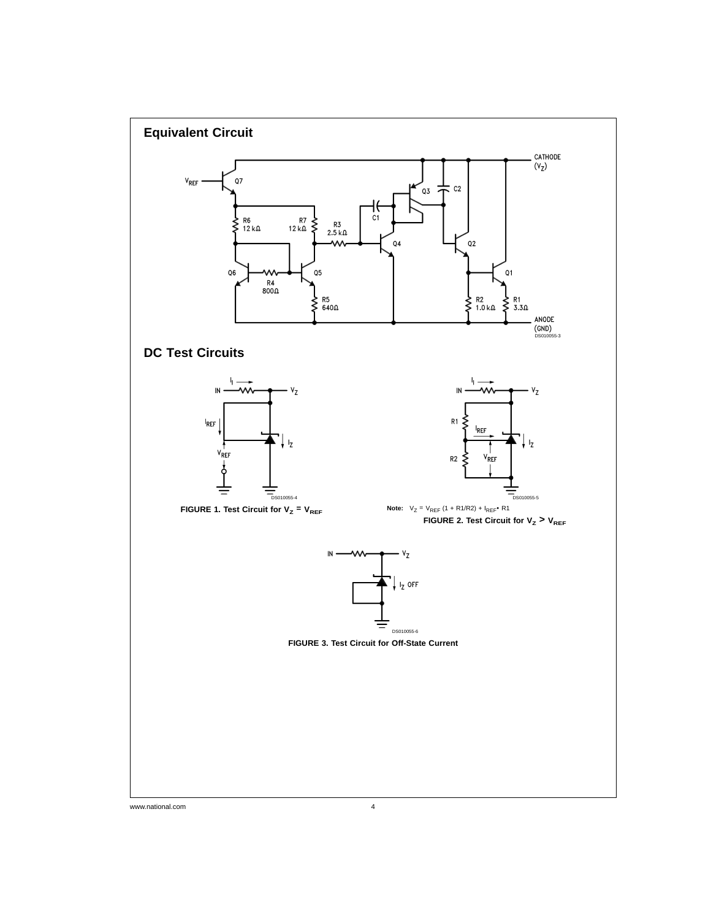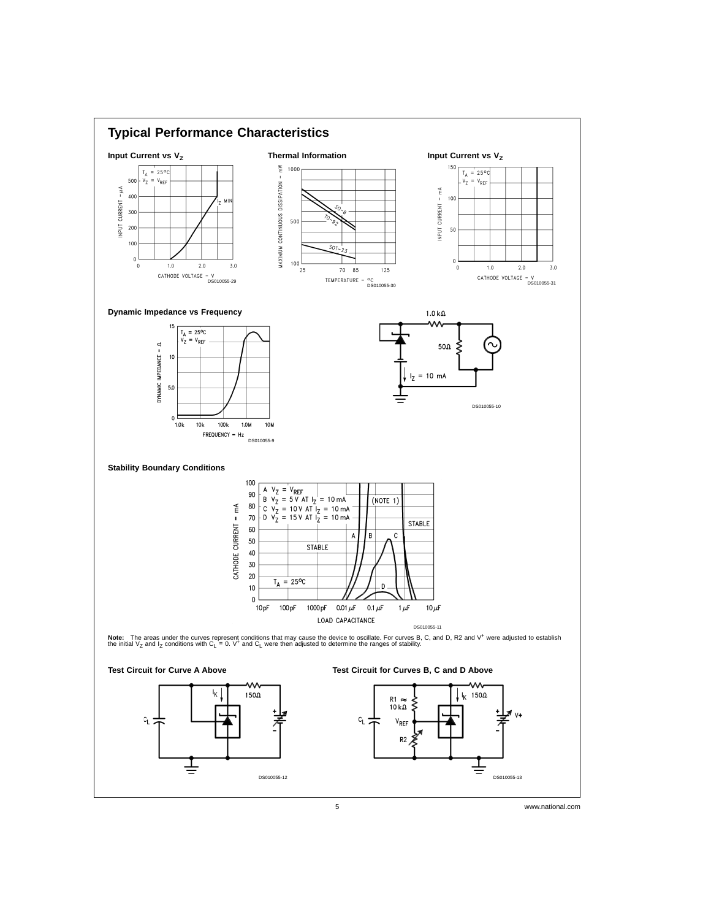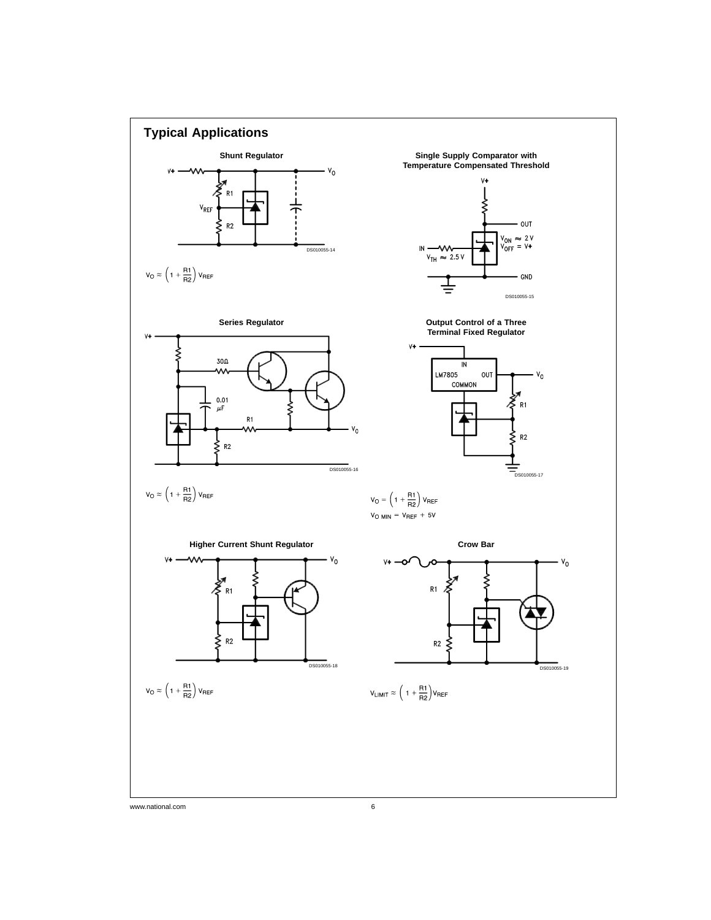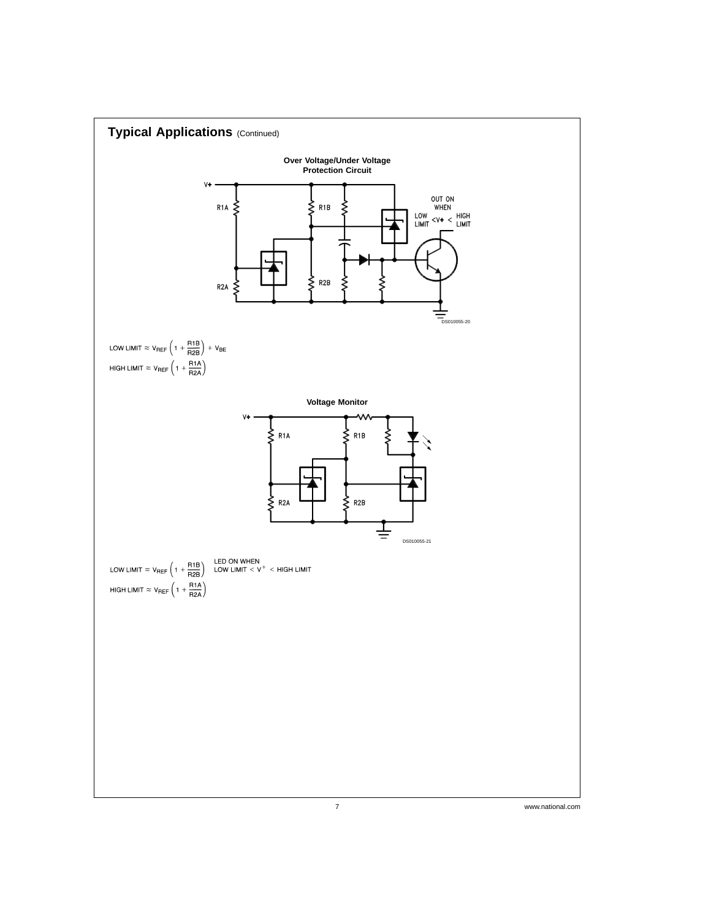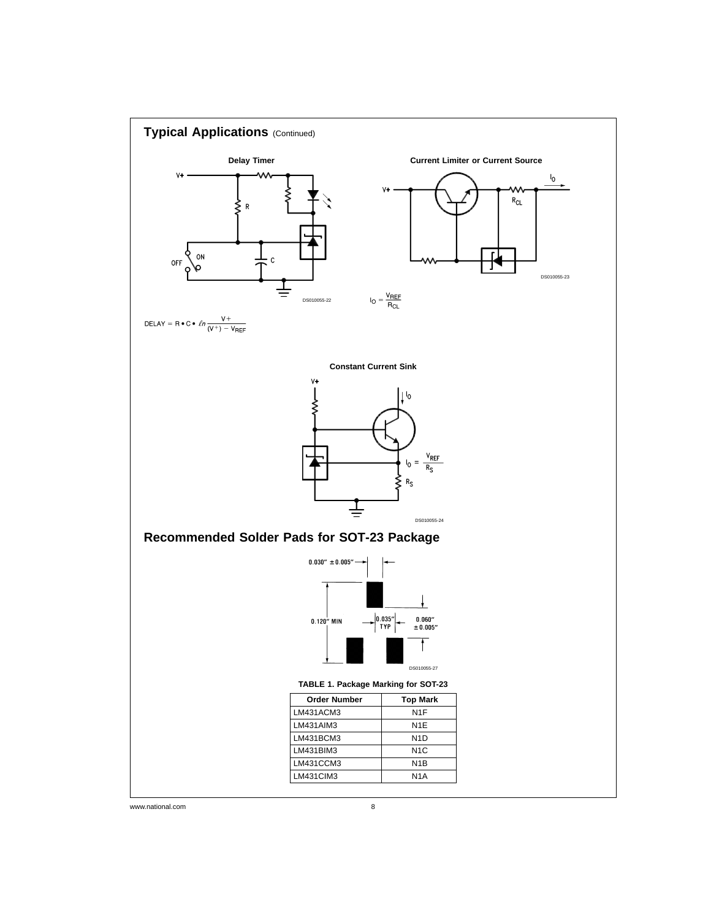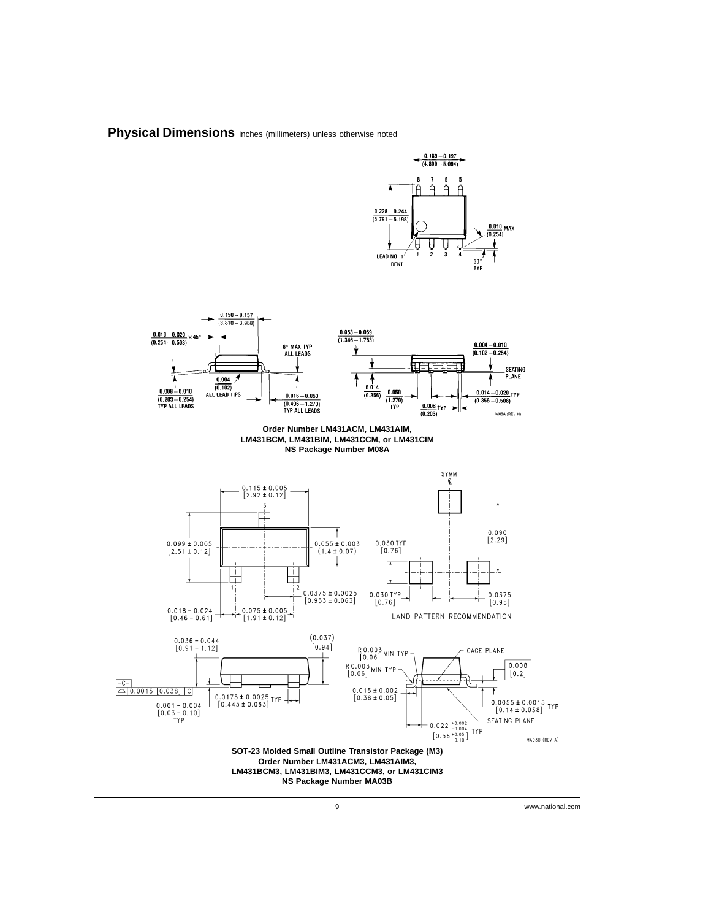